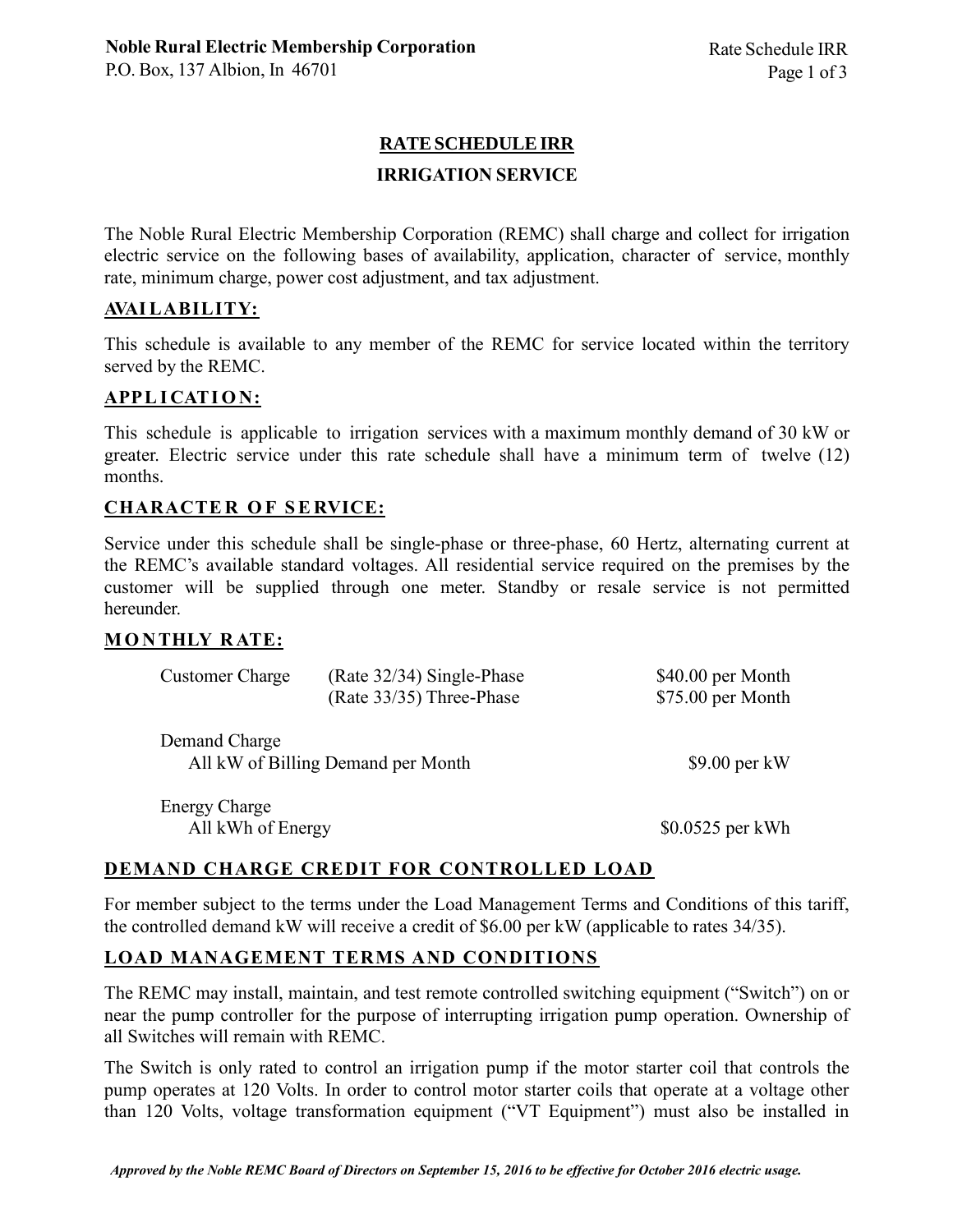# **RATESCHEDULEIRR**

### **IRRIGATION SERVICE**

The Noble Rural Electric Membership Corporation (REMC) shall charge and collect for irrigation electric service on the following bases of availability, application, character of service, monthly rate, minimum charge, power cost adjustment, and tax adjustment.

### **AVAILABILITY:**

This schedule is available to any member of the REMC for service located within the territory served by the REMC.

# **APPLI CATI O N:**

This schedule is applicable to irrigation services with a maximum monthly demand of 30 kW or greater. Electric service under this rate schedule shall have a minimum term of twelve (12) months.

### **CHARACTE R O F SE RVICE:**

Service under this schedule shall be single-phase or three-phase, 60 Hertz, alternating current at the REMC's available standard voltages. All residential service required on the premises by the customer will be supplied through one meter. Standby or resale service is not permitted hereunder.

# **MO N THLY R ATE:**

| <b>Customer Charge</b>                              | $(Rate 32/34)$ Single-Phase<br>(Rate 33/35) Three-Phase | \$40.00 per Month<br>\$75.00 per Month |
|-----------------------------------------------------|---------------------------------------------------------|----------------------------------------|
| Demand Charge<br>All kW of Billing Demand per Month |                                                         | $$9.00$ per kW                         |
| $E_{\text{nonex}}$ Charge                           |                                                         |                                        |

Energy Charge All kWh of Energy  $$0.0525$  per kWh

# **DEMAND CHARGE CREDIT FOR CONTROLLED LOAD**

For member subject to the terms under the Load Management Terms and Conditions of this tariff, the controlled demand kW will receive a credit of \$6.00 per kW (applicable to rates 34/35).

# **LOAD MANAGEMENT TERMS AND CONDITIONS**

The REMC may install, maintain, and test remote controlled switching equipment ("Switch") on or near the pump controller for the purpose of interrupting irrigation pump operation. Ownership of all Switches will remain with REMC.

The Switch is only rated to control an irrigation pump if the motor starter coil that controls the pump operates at 120 Volts. In order to control motor starter coils that operate at a voltage other than 120 Volts, voltage transformation equipment ("VT Equipment") must also be installed in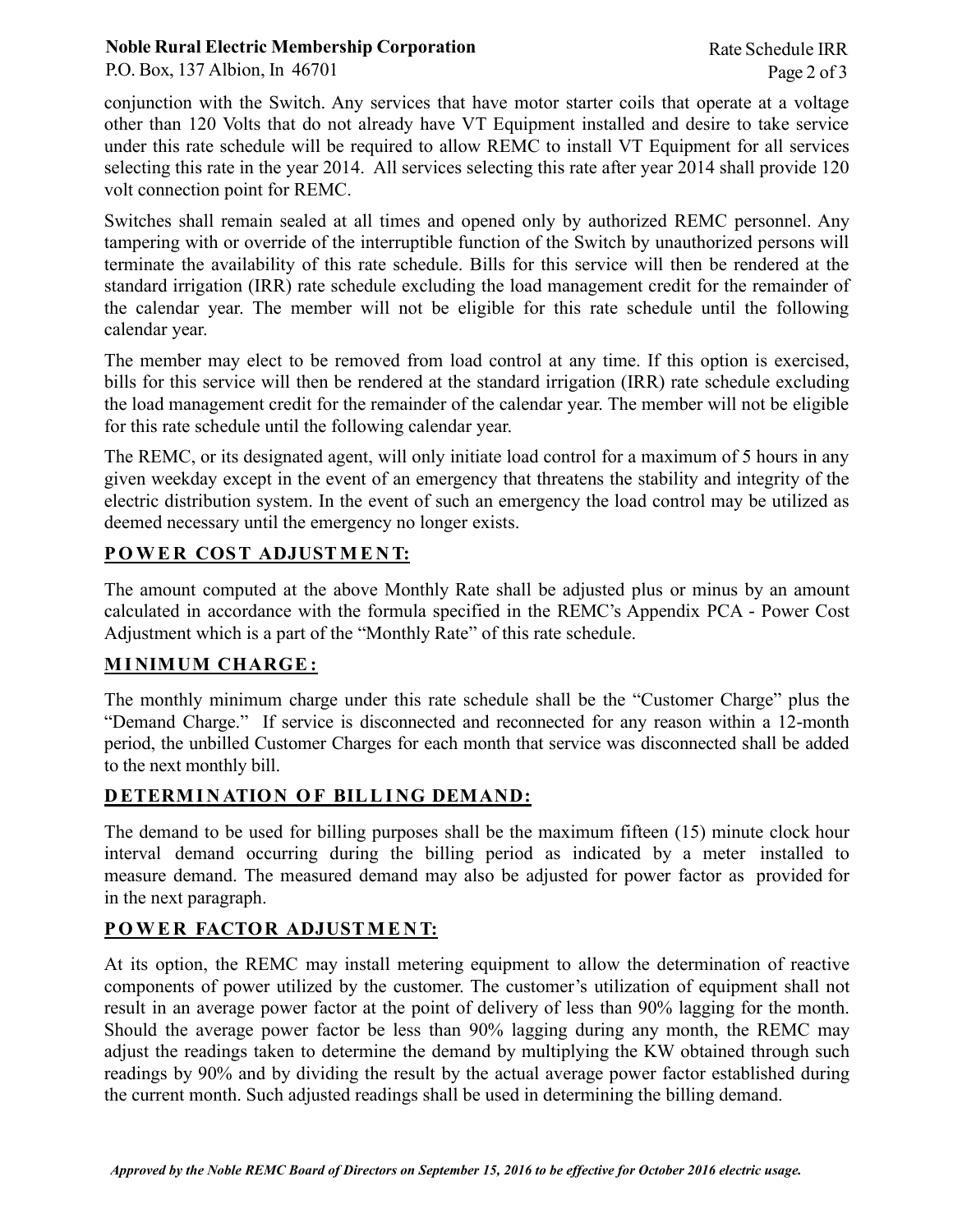### **Noble Rural Electric Membership Corporation**

conjunction with the Switch. Any services that have motor starter coils that operate at a voltage other than 120 Volts that do not already have VT Equipment installed and desire to take service under this rate schedule will be required to allow REMC to install VT Equipment for all services selecting this rate in the year 2014. All services selecting this rate after year 2014 shall provide 120 volt connection point for REMC.

Switches shall remain sealed at all times and opened only by authorized REMC personnel. Any tampering with or override of the interruptible function of the Switch by unauthorized persons will terminate the availability of this rate schedule. Bills for this service will then be rendered at the standard irrigation (IRR) rate schedule excluding the load management credit for the remainder of the calendar year. The member will not be eligible for this rate schedule until the following calendar year.

The member may elect to be removed from load control at any time. If this option is exercised, bills for this service will then be rendered at the standard irrigation (IRR) rate schedule excluding the load management credit for the remainder of the calendar year. The member will not be eligible for this rate schedule until the following calendar year.

The REMC, or its designated agent, will only initiate load control for a maximum of 5 hours in any given weekday except in the event of an emergency that threatens the stability and integrity of the electric distribution system. In the event of such an emergency the load control may be utilized as deemed necessary until the emergency no longer exists.

# **POWE R COST ADJUSTME N T:**

The amount computed at the above Monthly Rate shall be adjusted plus or minus by an amount calculated in accordance with the formula specified in the REMC's Appendix PCA - Power Cost Adjustment which is a part of the "Monthly Rate" of this rate schedule.

# **MI NIMUM CHARGE :**

The monthly minimum charge under this rate schedule shall be the "Customer Charge" plus the "Demand Charge." If service is disconnected and reconnected for any reason within a 12-month period, the unbilled Customer Charges for each month that service was disconnected shall be added to the next monthly bill.

# **D ETERMI N ATION O F BILLI NG DEMAND:**

The demand to be used for billing purposes shall be the maximum fifteen (15) minute clock hour interval demand occurring during the billing period as indicated by a meter installed to measure demand. The measured demand may also be adjusted for power factor as provided for in the next paragraph.

# **POWE R FACTOR ADJUSTME N T:**

At its option, the REMC may install metering equipment to allow the determination of reactive components of power utilized by the customer. The customer's utilization of equipment shall not result in an average power factor at the point of delivery of less than 90% lagging for the month. Should the average power factor be less than 90% lagging during any month, the REMC may adjust the readings taken to determine the demand by multiplying the KW obtained through such readings by 90% and by dividing the result by the actual average power factor established during the current month. Such adjusted readings shall be used in determining the billing demand.